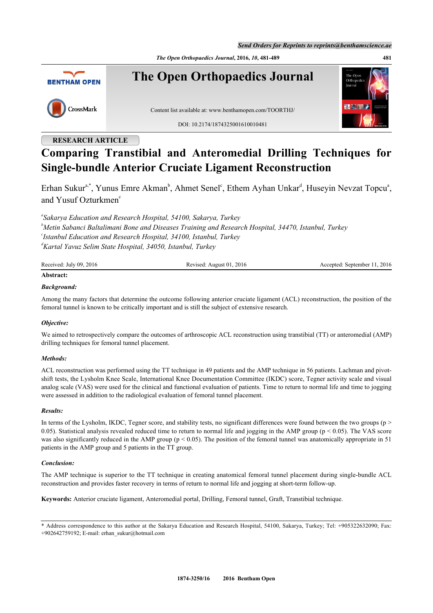*Send Orders for Reprints to reprints@benthamscience.ae*

*The Open Orthopaedics Journal***, 2016,** *10***, 481-489 481**



# **RESEARCH ARTICLE**

# **Comparing Transtibial and Anteromedial Drilling Techniques for Single-bundle Anterior Cruciate Ligament Reconstruction**

Erh[a](#page-0-0)n Sukur<sup>a,[\\*](#page-0-1)</sup>, Yunus Emre Akman<sup>[b](#page-0-2)</sup>, Ahmet Senel<sup>[c](#page-0-3)</sup>, Ethem Ayhan Unkar<sup>[d](#page-0-4)</sup>, Huseyin Nevzat Topcu<sup>a</sup>, and Yusuf Ozturkmen<sup>[c](#page-0-3)</sup>

<span id="page-0-3"></span><span id="page-0-2"></span><span id="page-0-0"></span>*a Sakarya Education and Research Hospital, 54100, Sakarya, Turkey <sup>b</sup>Metin Sabanci Baltalimani Bone and Diseases Training and Research Hospital, 34470, Istanbul, Turkey c Istanbul Education and Research Hospital, 34100, Istanbul, Turkey <sup>d</sup>Kartal Yavuz Selim State Hospital, 34050, Istanbul, Turkey*

<span id="page-0-4"></span>

| Received: July 09, 2016 | Revised: August 01, 2016 | Accepted: September 11, 2016 |
|-------------------------|--------------------------|------------------------------|
| Abstract:               |                          |                              |

# *Background:*

Among the many factors that determine the outcome following anterior cruciate ligament (ACL) reconstruction, the position of the femoral tunnel is known to be critically important and is still the subject of extensive research.

#### *Objective:*

We aimed to retrospectively compare the outcomes of arthroscopic ACL reconstruction using transtibial (TT) or anteromedial (AMP) drilling techniques for femoral tunnel placement.

#### *Methods:*

ACL reconstruction was performed using the TT technique in 49 patients and the AMP technique in 56 patients. Lachman and pivotshift tests, the Lysholm Knee Scale, International Knee Documentation Committee (IKDC) score, Tegner activity scale and visual analog scale (VAS) were used for the clinical and functional evaluation of patients. Time to return to normal life and time to jogging were assessed in addition to the radiological evaluation of femoral tunnel placement.

#### *Results:*

In terms of the Lysholm, IKDC, Tegner score, and stability tests, no significant differences were found between the two groups ( $p$  > 0.05). Statistical analysis revealed reduced time to return to normal life and jogging in the AMP group ( $p < 0.05$ ). The VAS score was also significantly reduced in the AMP group ( $p < 0.05$ ). The position of the femoral tunnel was anatomically appropriate in 51 patients in the AMP group and 5 patients in the TT group.

#### *Conclusion:*

The AMP technique is superior to the TT technique in creating anatomical femoral tunnel placement during single-bundle ACL reconstruction and provides faster recovery in terms of return to normal life and jogging at short-term follow-up.

**Keywords:** Anterior cruciate ligament, Anteromedial portal, Drilling, Femoral tunnel, Graft, Transtibial technique.

<span id="page-0-1"></span><sup>\*</sup> Address correspondence to this author at the Sakarya Education and Research Hospital, 54100, Sakarya, Turkey; Tel: +905322632090; Fax: +902642759192; E-mail: [erhan\\_sukur@hotmail.com](mailto:erhan_sukur@hotmail.com)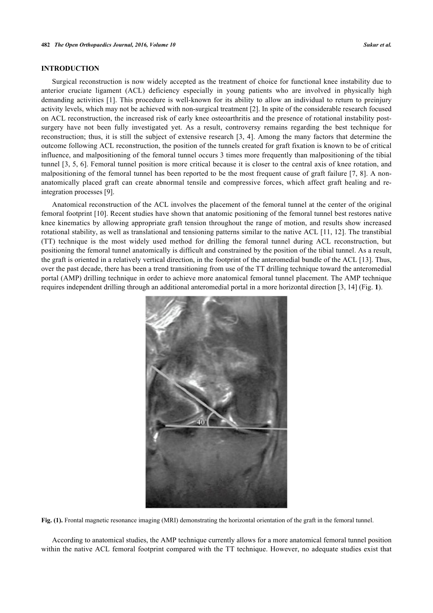#### **INTRODUCTION**

Surgical reconstruction is now widely accepted as the treatment of choice for functional knee instability due to anterior cruciate ligament (ACL) deficiency especially in young patients who are involved in physically high demanding activities [[1](#page-5-0)]. This procedure is well-known for its ability to allow an individual to return to preinjury activity levels, which may not be achieved with non-surgical treatment [[2\]](#page-6-0). In spite of the considerable research focused on ACL reconstruction, the increased risk of early knee osteoarthritis and the presence of rotational instability postsurgery have not been fully investigated yet. As a result, controversy remains regarding the best technique for reconstruction; thus, it is still the subject of extensive research [[3,](#page-6-1) [4\]](#page-6-2). Among the many factors that determine the outcome following ACL reconstruction, the position of the tunnels created for graft fixation is known to be of critical influence, and malpositioning of the femoral tunnel occurs 3 times more frequently than malpositioning of the tibial tunnel [[3,](#page-6-1) [5,](#page-6-3) [6\]](#page-6-4). Femoral tunnel position is more critical because it is closer to the central axis of knee rotation, and malpositioning of the femoral tunnel has been reported to be the most frequent cause of graft failure [[7](#page-6-5), [8](#page-6-6)]. A nonanatomically placed graft can create abnormal tensile and compressive forces, which affect graft healing and reintegration processes [[9\]](#page-6-7).

<span id="page-1-0"></span>Anatomical reconstruction of the ACL involves the placement of the femoral tunnel at the center of the original femoral footprint [[10\]](#page-6-8). Recent studies have shown that anatomic positioning of the femoral tunnel best restores native knee kinematics by allowing appropriate graft tension throughout the range of motion, and results show increased rotational stability, as well as translational and tensioning patterns similar to the native ACL [\[11](#page-6-9), [12](#page-6-10)]. The transtibial (TT) technique is the most widely used method for drilling the femoral tunnel during ACL reconstruction, but positioning the femoral tunnel anatomically is difficult and constrained by the position of the tibial tunnel. As a result, the graft is oriented in a relatively vertical direction, in the footprint of the anteromedial bundle of the ACL [\[13](#page-6-11)]. Thus, over the past decade, there has been a trend transitioning from use of the TT drilling technique toward the anteromedial portal (AMP) drilling technique in order to achieve more anatomical femoral tunnel placement. The AMP technique requires independent drilling through an additional anteromedial portal in a more horizontal direction [\[3](#page-6-1), [14](#page-6-12)] (Fig. **[1](#page-1-0)**).



**Fig. (1).** Frontal magnetic resonance imaging (MRI) demonstrating the horizontal orientation of the graft in the femoral tunnel.

According to anatomical studies, the AMP technique currently allows for a more anatomical femoral tunnel position within the native ACL femoral footprint compared with the TT technique. However, no adequate studies exist that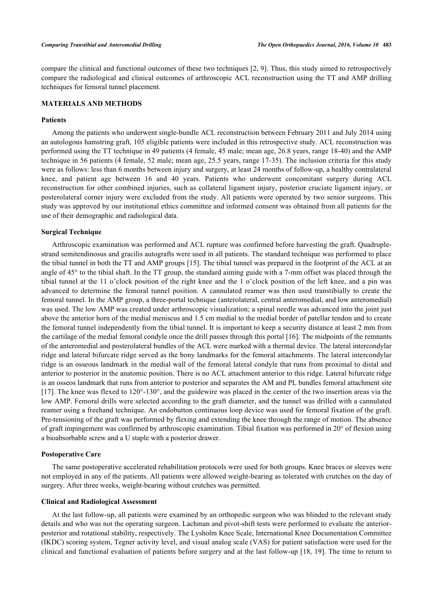compare the clinical and functional outcomes of these two techniques [[2,](#page-6-0) [9](#page-6-7)]. Thus, this study aimed to retrospectively compare the radiological and clinical outcomes of arthroscopic ACL reconstruction using the TT and AMP drilling techniques for femoral tunnel placement.

#### **MATERIALS AND METHODS**

#### **Patients**

Among the patients who underwent single-bundle ACL reconstruction between February 2011 and July 2014 using an autologous hamstring graft, 105 eligible patients were included in this retrospective study. ACL reconstruction was performed using the TT technique in 49 patients (4 female, 45 male; mean age, 26.8 years, range 18-40) and the AMP technique in 56 patients (4 female, 52 male; mean age, 25.5 years, range 17-35). The inclusion criteria for this study were as follows: less than 6 months between injury and surgery, at least 24 months of follow-up, a healthy contralateral knee, and patient age between 16 and 40 years. Patients who underwent concomitant surgery during ACL reconstruction for other combined injuries, such as collateral ligament injury, posterior cruciate ligament injury, or posterolateral corner injury were excluded from the study. All patients were operated by two senior surgeons. This study was approved by our institutional ethics committee and informed consent was obtained from all patients for the use of their demographic and radiological data.

#### **Surgical Technique**

Arthroscopic examination was performed and ACL rupture was confirmed before harvesting the graft. Quadruplestrand semitendinosus and gracilis autografts were used in all patients. The standard technique was performed to place the tibial tunnel in both the TT and AMP groups [\[15\]](#page-6-13). The tibial tunnel was prepared in the footprint of the ACL at an angle of 45° to the tibial shaft. In the TT group, the standard aiming guide with a 7-mm offset was placed through the tibial tunnel at the 11 o'clock position of the right knee and the 1 o'clock position of the left knee, and a pin was advanced to determine the femoral tunnel position. A cannulated reamer was then used transtibially to create the femoral tunnel. In the AMP group, a three-portal technique (anterolateral, central anteromedial, and low anteromedial) was used. The low AMP was created under arthroscopic visualization; a spinal needle was advanced into the joint just above the anterior horn of the medial meniscus and 1.5 cm medial to the medial border of patellar tendon and to create the femoral tunnel independently from the tibial tunnel. It is important to keep a security distance at least 2 mm from the cartilage of the medial femoral condyle once the drill passes through this portal [[16\]](#page-6-14). The midpoints of the remnants of the anteromedial and posterolateral bundles of the ACL were marked with a thermal device. The lateral intercondylar ridge and lateral bifurcate ridge served as the bony landmarks for the femoral attachments. The lateral intercondylar ridge is an osseous landmark in the medial wall of the femoral lateral condyle that runs from proximal to distal and anterior to posterior in the anatomic position. There is no ACL attachment anterior to this ridge. Lateral bifurcate ridge is an osseos landmark that runs from anterior to posterior and separates the AM and PL bundles femoral attachment site [\[17](#page-6-15)]. The knee was flexed to 120°-130°, and the guidewire was placed in the center of the two insertion areas via the low AMP. Femoral drills were selected according to the graft diameter, and the tunnel was drilled with a cannulated reamer using a freehand technique. An endobutton continuous loop device was used for femoral fixation of the graft. Pre-tensioning of the graft was performed by flexing and extending the knee through the range of motion. The absence of graft impingement was confirmed by arthroscopic examination. Tibial fixation was performed in 20° of flexion using a bioabsorbable screw and a U staple with a posterior drawer.

#### **Postoperative Care**

The same postoperative accelerated rehabilitation protocols were used for both groups. Knee braces or sleeves were not employed in any of the patients. All patients were allowed weight-bearing as tolerated with crutches on the day of surgery. After three weeks, weight-bearing without crutches was permitted.

#### **Clinical and Radiological Assessment**

At the last follow-up, all patients were examined by an orthopedic surgeon who was blinded to the relevant study details and who was not the operating surgeon. Lachman and pivot-shift tests were performed to evaluate the anteriorposterior and rotational stability, respectively. The Lysholm Knee Scale, International Knee Documentation Committee (IKDC) scoring system, Tegner activity level, and visual analog scale (VAS) for patient satisfaction were used for the clinical and functional evaluation of patients before surgery and at the last follow-up [\[18,](#page-6-16) [19\]](#page-6-17). The time to return to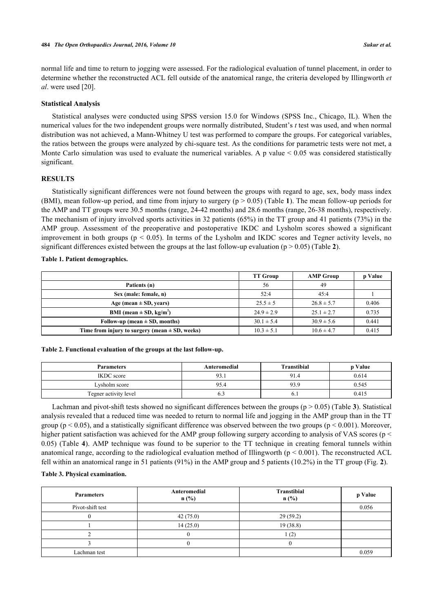normal life and time to return to jogging were assessed. For the radiological evaluation of tunnel placement, in order to determine whether the reconstructed ACL fell outside of the anatomical range, the criteria developed by Illingworth *et al*. were used [[20\]](#page-6-18).

#### **Statistical Analysis**

Statistical analyses were conducted using SPSS version 15.0 for Windows (SPSS Inc., Chicago, IL). When the numerical values for the two independent groups were normally distributed, Student's *t* test was used, and when normal distribution was not achieved, a Mann-Whitney U test was performed to compare the groups. For categorical variables, the ratios between the groups were analyzed by chi-square test. As the conditions for parametric tests were not met, a Monte Carlo simulation was used to evaluate the numerical variables. A p value  $< 0.05$  was considered statistically significant.

#### **RESULTS**

Statistically significant differences were not found between the groups with regard to age, sex, body mass index (BMI), mean follow-up period, and time from injury to surgery  $(p > 0.05)$  (Table [1](#page-3-0)). The mean follow-up periods for the AMP and TT groups were 30.5 months (range, 24-42 months) and 28.6 months (range, 26-38 months), respectively. The mechanism of injury involved sports activities in 32 patients (65%) in the TT group and 41 patients (73%) in the AMP group. Assessment of the preoperative and postoperative IKDC and Lysholm scores showed a significant improvement in both groups ( $p < 0.05$ ). In terms of the Lysholm and IKDC scores and Tegner activity levels, no significant differences existed between the groups at the last follow-up evaluation ( $p > 0.05$ ) (Table [2](#page-3-1)).

#### <span id="page-3-0"></span>**Table 1. Patient demographics.**

|                                                    | <b>TT Group</b> | <b>AMP Group</b> | p Value |
|----------------------------------------------------|-----------------|------------------|---------|
| Patients (n)                                       | 56              | 49               |         |
| Sex (male: female, n)                              | 52:4            | 45:4             |         |
| Age (mean $\pm$ SD, years)                         | $25.5 \pm 5$    | $26.8 \pm 5.7$   | 0.406   |
| BMI (mean $\pm$ SD, kg/m <sup>2</sup> )            | $24.9 \pm 2.9$  | $25.1 \pm 2.7$   | 0.735   |
| Follow-up (mean $\pm$ SD, months)                  | $30.1 \pm 5.4$  | $30.9 \pm 5.6$   | 0.441   |
| Time from injury to surgery (mean $\pm$ SD, weeks) | $10.3 \pm 5.1$  | $10.6 \pm 4.7$   | 0.415   |

#### <span id="page-3-1"></span>**Table 2. Functional evaluation of the groups at the last follow-up.**

| <b>Parameters</b>     | Anteromedial | <b>Transtibial</b> | <b>p</b> Value |
|-----------------------|--------------|--------------------|----------------|
| <b>IKDC</b> score     | 93.1         | 91.4               | 0.614          |
| Lvsholm score         | 95.4         | 93.9               | 0.545          |
| Tegner activity level | 0.3          | 0. I               | 0.415          |

Lachman and pivot-shift tests showed no significant differences between the groups  $(p > 0.05)$  (Table [3](#page-3-2)). Statistical analysis revealed that a reduced time was needed to return to normal life and jogging in the AMP group than in the TT group ( $p < 0.05$ ), and a statistically significant difference was observed between the two groups ( $p < 0.001$ ). Moreover, higher patient satisfaction was achieved for the AMP group following surgery according to analysis of VAS scores (p < 0.05) (Table **[4](#page-4-0)**). AMP technique was found to be superior to the TT technique in creating femoral tunnels within anatomical range, according to the radiological evaluation method of Illingworth  $(p < 0.001)$ . The reconstructed ACL fell within an anatomical range in 51 patients (91%) in the AMP group and 5 patients (10.2%) in the TT group (Fig. **[2](#page-4-1)**).

#### <span id="page-3-2"></span>**Table 3. Physical examination.**

| <b>Parameters</b> | Anteromedial<br>n(%) | <b>Transtibial</b><br>n(%) | p Value |
|-------------------|----------------------|----------------------------|---------|
| Pivot-shift test  |                      |                            | 0.056   |
|                   | 42(75.0)             | 29(59.2)                   |         |
|                   | 14(25.0)             | 19(38.8)                   |         |
|                   |                      |                            |         |
|                   |                      |                            |         |
| Lachman test      |                      |                            | 0.059   |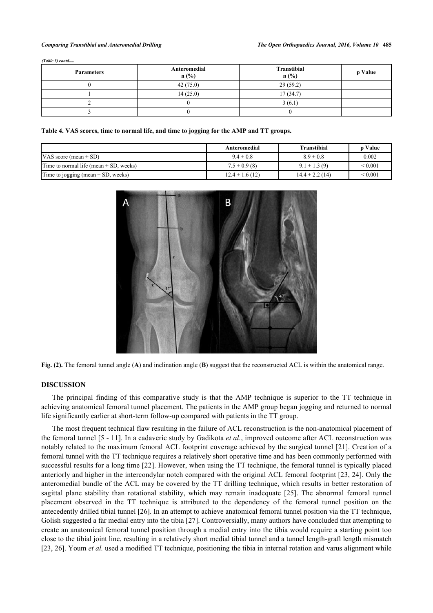*(Table 3) contd.....*

| <b>Parameters</b> | Anteromedial<br>$n$ (%) | Transtibial<br>n(%) | p Value |
|-------------------|-------------------------|---------------------|---------|
|                   | 42(75.0)                | 29(59.2)            |         |
|                   | 14(25.0)                | 17(34.7)            |         |
|                   |                         | 3(6.1)              |         |
|                   |                         |                     |         |

<span id="page-4-0"></span>**Table 4. VAS scores, time to normal life, and time to jogging for the AMP and TT groups.**

<span id="page-4-1"></span>

|                                            | Anteromedial       | Transtibial         | <b>p</b> Value |
|--------------------------------------------|--------------------|---------------------|----------------|
| VAS score (mean $\pm$ SD)                  | $9.4 \pm 0.8$      | $8.9 \pm 0.8$       | 0.002          |
| Time to normal life (mean $\pm$ SD, weeks) | $7.5 \pm 0.9$ (8)  | $9.1 \pm 1.3(9)$    | ${}_{0.001}$   |
| Time to jogging (mean $\pm$ SD, weeks)     | $12.4 \pm 1.6(12)$ | $14.4 \pm 2.2$ (14) | ${}_{0.001}$   |



**Fig. (2).** The femoral tunnel angle (**A**) and inclination angle (**B**) suggest that the reconstructed ACL is within the anatomical range.

#### **DISCUSSION**

The principal finding of this comparative study is that the AMP technique is superior to the TT technique in achieving anatomical femoral tunnel placement. The patients in the AMP group began jogging and returned to normal life significantly earlier at short-term follow-up compared with patients in the TT group.

The most frequent technical flaw resulting in the failure of ACL reconstruction is the non-anatomical placement of the femoral tunnel [\[5](#page-6-3) - [11\]](#page-6-9). In a cadaveric study by Gadikota *et al.*, improved outcome after ACL reconstruction was notably related to the maximum femoral ACL footprint coverage achieved by the surgical tunnel [[21](#page-6-19)]. Creation of a femoral tunnel with the TT technique requires a relatively short operative time and has been commonly performed with successful results for a long time [\[22\]](#page-7-0). However, when using the TT technique, the femoral tunnel is typically placed anteriorly and higher in the intercondylar notch compared with the original ACL femoral footprint [\[23,](#page-7-1) [24](#page-7-2)]. Only the anteromedial bundle of the ACL may be covered by the TT drilling technique, which results in better restoration of sagittal plane stability than rotational stability, which may remain inadequate [\[25](#page-7-3)]. The abnormal femoral tunnel placement observed in the TT technique is attributed to the dependency of the femoral tunnel position on the antecedently drilled tibial tunnel [[26\]](#page-7-4). In an attempt to achieve anatomical femoral tunnel position via the TT technique, Golish suggested a far medial entry into the tibia [[27](#page-7-5)]. Controversially, many authors have concluded that attempting to create an anatomical femoral tunnel position through a medial entry into the tibia would require a starting point too close to the tibial joint line, resulting in a relatively short medial tibial tunnel and a tunnel length-graft length mismatch [\[23](#page-7-1), [26](#page-7-4)]. Youm *et al.* used a modified TT technique, positioning the tibia in internal rotation and varus alignment while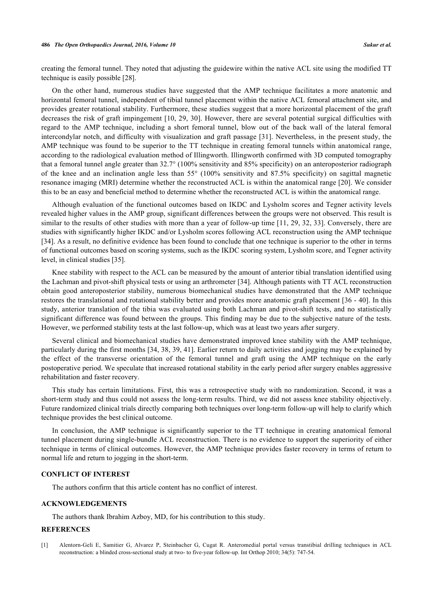creating the femoral tunnel. They noted that adjusting the guidewire within the native ACL site using the modified TT technique is easily possible [[28\]](#page-7-6).

On the other hand, numerous studies have suggested that the AMP technique facilitates a more anatomic and horizontal femoral tunnel, independent of tibial tunnel placement within the native ACL femoral attachment site, and provides greater rotational stability. Furthermore, these studies suggest that a more horizontal placement of the graft decreases the risk of graft impingement [[10,](#page-6-8) [29](#page-7-7), [30](#page-7-8)]. However, there are several potential surgical difficulties with regard to the AMP technique, including a short femoral tunnel, blow out of the back wall of the lateral femoral intercondylar notch, and difficulty with visualization and graft passage [[31\]](#page-7-9). Nevertheless, in the present study, the AMP technique was found to be superior to the TT technique in creating femoral tunnels within anatomical range, according to the radiological evaluation method of Illingworth. Illingworth confirmed with 3D computed tomography that a femoral tunnel angle greater than 32.7° (100% sensitivity and 85% specificity) on an anteroposterior radiograph of the knee and an inclination angle less than 55° (100% sensitivity and 87.5% specificity) on sagittal magnetic resonance imaging (MRI) determine whether the reconstructed ACL is within the anatomical range [[20\]](#page-6-18). We consider this to be an easy and beneficial method to determine whether the reconstructed ACL is within the anatomical range.

Although evaluation of the functional outcomes based on IKDC and Lysholm scores and Tegner activity levels revealed higher values in the AMP group, significant differences between the groups were not observed. This result is similar to the results of other studies with more than a year of follow-up time [\[11](#page-6-9), [29](#page-7-7), [32,](#page-7-10) [33\]](#page-7-11). Conversely, there are studies with significantly higher IKDC and/or Lysholm scores following ACL reconstruction using the AMP technique [\[34](#page-7-12)]. As a result, no definitive evidence has been found to conclude that one technique is superior to the other in terms of functional outcomes based on scoring systems, such as the IKDC scoring system, Lysholm score, and Tegner activity level, in clinical studies [[35\]](#page-7-13).

Knee stability with respect to the ACL can be measured by the amount of anterior tibial translation identified using the Lachman and pivot-shift physical tests or using an arthrometer [\[34](#page-7-12)]. Although patients with TT ACL reconstruction obtain good anteroposterior stability, numerous biomechanical studies have demonstrated that the AMP technique restores the translational and rotational stability better and provides more anatomic graft placement [[36](#page-7-14) - [40](#page-8-0)]. In this study, anterior translation of the tibia was evaluated using both Lachman and pivot-shift tests, and no statistically significant difference was found between the groups. This finding may be due to the subjective nature of the tests. However, we performed stability tests at the last follow-up, which was at least two years after surgery.

Several clinical and biomechanical studies have demonstrated improved knee stability with the AMP technique, particularly during the first months [\[34](#page-7-12), [38,](#page-7-15) [39](#page-7-16), [41\]](#page-8-1). Earlier return to daily activities and jogging may be explained by the effect of the transverse orientation of the femoral tunnel and graft using the AMP technique on the early postoperative period. We speculate that increased rotational stability in the early period after surgery enables aggressive rehabilitation and faster recovery.

This study has certain limitations. First, this was a retrospective study with no randomization. Second, it was a short-term study and thus could not assess the long-term results. Third, we did not assess knee stability objectively. Future randomized clinical trials directly comparing both techniques over long-term follow-up will help to clarify which technique provides the best clinical outcome.

In conclusion, the AMP technique is significantly superior to the TT technique in creating anatomical femoral tunnel placement during single-bundle ACL reconstruction. There is no evidence to support the superiority of either technique in terms of clinical outcomes. However, the AMP technique provides faster recovery in terms of return to normal life and return to jogging in the short-term.

#### **CONFLICT OF INTEREST**

The authors confirm that this article content has no conflict of interest.

### **ACKNOWLEDGEMENTS**

The authors thank Ibrahim Azboy, MD, for his contribution to this study.

### **REFERENCES**

<span id="page-5-0"></span>[1] Alentorn-Geli E, Samitier G, Alvarez P, Steinbacher G, Cugat R. Anteromedial portal versus transtibial drilling techniques in ACL reconstruction: a blinded cross-sectional study at two- to five-year follow-up. Int Orthop 2010; 34(5): 747-54.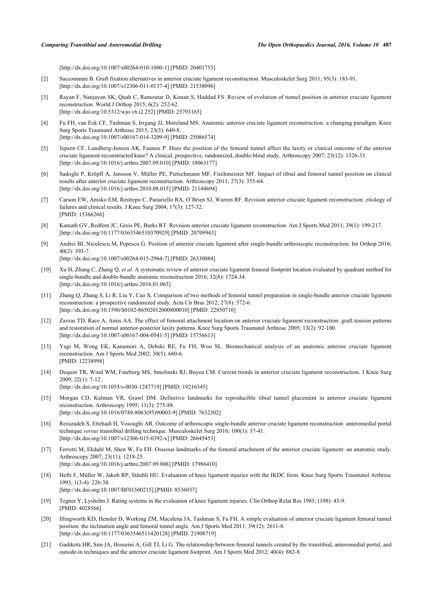[\[http://dx.doi.org/10.1007/s00264-010-1000-1\]](http://dx.doi.org/10.1007/s00264-010-1000-1) [PMID: [20401753](http://www.ncbi.nlm.nih.gov/pubmed/20401753)]

- <span id="page-6-0"></span>[2] Saccomanni B. Graft fixation alternatives in anterior cruciate ligament reconstruction. Musculoskelet Surg 2011; 95(3): 183-91. [\[http://dx.doi.org/10.1007/s12306-011-0137-4\]](http://dx.doi.org/10.1007/s12306-011-0137-4) [PMID: [21538096](http://www.ncbi.nlm.nih.gov/pubmed/21538096)]
- <span id="page-6-1"></span>[3] Rayan F, Nanjayan SK, Quah C, Ramoutar D, Konan S, Haddad FS. Review of evolution of tunnel position in anterior cruciate ligament reconstruction. World J Orthop 2015; 6(2): 252-62. [\[http://dx.doi.org/10.5312/wjo.v6.i2.252](http://dx.doi.org/10.5312/wjo.v6.i2.252)] [PMID: [25793165\]](http://www.ncbi.nlm.nih.gov/pubmed/25793165)
- <span id="page-6-2"></span>[4] Fu FH, van Eck CF, Tashman S, Irrgang JJ, Moreland MS. Anatomic anterior cruciate ligament reconstruction: a changing paradigm. Knee Surg Sports Traumatol Arthrosc 2015; 23(3): 640-8. [\[http://dx.doi.org/10.1007/s00167-014-3209-9\]](http://dx.doi.org/10.1007/s00167-014-3209-9) [PMID: [25086574](http://www.ncbi.nlm.nih.gov/pubmed/25086574)]
- <span id="page-6-3"></span>[5] Jepsen CF, Lundberg-Jensen AK, Faunoe P. Does the position of the femoral tunnel affect the laxity or clinical outcome of the anterior cruciate ligament-reconstructed knee? A clinical, prospective, randomized, double-blind study. Arthroscopy 2007; 23(12): 1326-33. [\[http://dx.doi.org/10.1016/j.arthro.2007.09.010](http://dx.doi.org/10.1016/j.arthro.2007.09.010)] [PMID: [18063177\]](http://www.ncbi.nlm.nih.gov/pubmed/18063177)
- <span id="page-6-4"></span>[6] Sadoghi P, Kröpfl A, Jansson V, Müller PE, Pietschmann MF, Fischmeister MF. Impact of tibial and femoral tunnel position on clinical results after anterior cruciate ligament reconstruction. Arthroscopy 2011; 27(3): 355-64. [\[http://dx.doi.org/10.1016/j.arthro.2010.08.015](http://dx.doi.org/10.1016/j.arthro.2010.08.015)] [PMID: [21144694\]](http://www.ncbi.nlm.nih.gov/pubmed/21144694)
- <span id="page-6-5"></span>[7] Carson EW, Anisko EM, Restrepo C, Panariello RA, O'Brien SJ, Warren RF. Revision anterior cruciate ligament reconstruction: etiology of failures and clinical results. J Knee Surg 2004; 17(3): 127-32. [PMID: [15366266\]](http://www.ncbi.nlm.nih.gov/pubmed/15366266)
- <span id="page-6-6"></span>[8] Kamath GV, Redfern JC, Greis PE, Burks RT. Revision anterior cruciate ligament reconstruction. Am J Sports Med 2011; 39(1): 199-217. [\[http://dx.doi.org/10.1177/0363546510370929\]](http://dx.doi.org/10.1177/0363546510370929) [PMID: [20709943](http://www.ncbi.nlm.nih.gov/pubmed/20709943)]
- <span id="page-6-7"></span>[9] Andrei BI, Niculescu M, Popescu G. Position of anterior cruciate ligament after single-bundle arthroscopic reconstruction. Int Orthop 2016; 40(2): 393-7.

[\[http://dx.doi.org/10.1007/s00264-015-2964-7\]](http://dx.doi.org/10.1007/s00264-015-2964-7) [PMID: [26330084](http://www.ncbi.nlm.nih.gov/pubmed/26330084)]

- <span id="page-6-8"></span>[10] Xu H, Zhang C, Zhang Q, *et al.* A systematic review of anterior cruciate ligament femoral footprint location evaluated by quadrant method for single-bundle and double-bundle anatomic reconstruction 2016; 32(8): 1724-34. [\[http://dx.doi.org/10.1016/j.arthro.2016.01.065](http://dx.doi.org/10.1016/j.arthro.2016.01.065)]
- <span id="page-6-9"></span>[11] Zhang Q, Zhang S, Li R, Liu Y, Cao X. Comparison of two methods of femoral tunnel preparation in single-bundle anterior cruciate ligament reconstruction: a prospective randomized study. Acta Cir Bras 2012; 27(8): 572-6. [\[http://dx.doi.org/10.1590/S0102-86502012000800010\]](http://dx.doi.org/10.1590/S0102-86502012000800010) [PMID: [22850710](http://www.ncbi.nlm.nih.gov/pubmed/22850710)]
- <span id="page-6-10"></span>[12] Zavras TD, Race A, Amis AA. The effect of femoral attachment location on anterior cruciate ligament reconstruction: graft tension patterns and restoration of normal anterior-posterior laxity patterns. Knee Surg Sports Traumatol Arthrosc 2005; 13(2): 92-100. [\[http://dx.doi.org/10.1007/s00167-004-0541-5\]](http://dx.doi.org/10.1007/s00167-004-0541-5) [PMID: [15756613](http://www.ncbi.nlm.nih.gov/pubmed/15756613)]
- <span id="page-6-11"></span>[13] Yagi M, Wong EK, Kanamori A, Debski RE, Fu FH, Woo SL. Biomechanical analysis of an anatomic anterior cruciate ligament reconstruction. Am J Sports Med 2002; 30(5): 660-6. [PMID: [12238998\]](http://www.ncbi.nlm.nih.gov/pubmed/12238998)
- <span id="page-6-12"></span>[14] Duquin TR, Wind WM, Fineberg MS, Smolinski RJ, Buyea CM. Current trends in anterior cruciate ligament reconstruction. J Knee Surg 2009; 22(1): 7-12. [\[http://dx.doi.org/10.1055/s-0030-1247719](http://dx.doi.org/10.1055/s-0030-1247719)] [PMID: [19216345\]](http://www.ncbi.nlm.nih.gov/pubmed/19216345)
- <span id="page-6-13"></span>[15] Morgan CD, Kalman VR, Grawl DM. Definitive landmarks for reproducible tibial tunnel placement in anterior cruciate ligament reconstruction. Arthroscopy 1995; 11(3): 275-88. [\[http://dx.doi.org/10.1016/0749-8063\(95\)90003-9](http://dx.doi.org/10.1016/0749-8063(95)90003-9)] [PMID: [7632302](http://www.ncbi.nlm.nih.gov/pubmed/7632302)]
- <span id="page-6-14"></span>[16] Rezazadeh S, Ettehadi H, Vosoughi AR. Outcome of arthroscopic single-bundle anterior cruciate ligament reconstruction: anteromedial portal technique *versus* transtibial drilling technique. Musculoskelet Surg 2016; 100(1): 37-41. [\[http://dx.doi.org/10.1007/s12306-015-0392-x\]](http://dx.doi.org/10.1007/s12306-015-0392-x) [PMID: [26645453](http://www.ncbi.nlm.nih.gov/pubmed/26645453)]
- <span id="page-6-15"></span>[17] Ferretti M, Ekdahl M, Shen W, Fu FH. Osseous landmarks of the femoral attachment of the anterior cruciate ligament: an anatomic study. Arthroscopy 2007; 23(11): 1218-25. [\[http://dx.doi.org/10.1016/j.arthro.2007.09.008](http://dx.doi.org/10.1016/j.arthro.2007.09.008)] [PMID: [17986410\]](http://www.ncbi.nlm.nih.gov/pubmed/17986410)
- <span id="page-6-16"></span>[18] Hefti F, Müller W, Jakob RP, Stäubli HU. Evaluation of knee ligament injuries with the IKDC form. Knee Surg Sports Traumatol Arthrosc 1993; 1(3-4): 226-34. [\[http://dx.doi.org/10.1007/BF01560215\]](http://dx.doi.org/10.1007/BF01560215) [PMID: [8536037](http://www.ncbi.nlm.nih.gov/pubmed/8536037)]
- <span id="page-6-17"></span>[19] Tegner Y, Lysholm J. Rating systems in the evaluation of knee ligament injuries. Clin Orthop Relat Res 1985; (198): 43-9. [PMID: [4028566\]](http://www.ncbi.nlm.nih.gov/pubmed/4028566)
- <span id="page-6-18"></span>[20] Illingworth KD, Hensler D, Working ZM, Macalena JA, Tashman S, Fu FH. A simple evaluation of anterior cruciate ligament femoral tunnel position: the inclination angle and femoral tunnel angle. Am J Sports Med 2011; 39(12): 2611-8. [\[http://dx.doi.org/10.1177/0363546511420128\]](http://dx.doi.org/10.1177/0363546511420128) [PMID: [21908719](http://www.ncbi.nlm.nih.gov/pubmed/21908719)]
- <span id="page-6-19"></span>[21] Gadikota HR, Sim JA, Hosseini A, Gill TJ, Li G. The relationship between femoral tunnels created by the transtibial, anteromedial portal, and outside-in techniques and the anterior cruciate ligament footprint. Am J Sports Med 2012; 40(4): 882-8.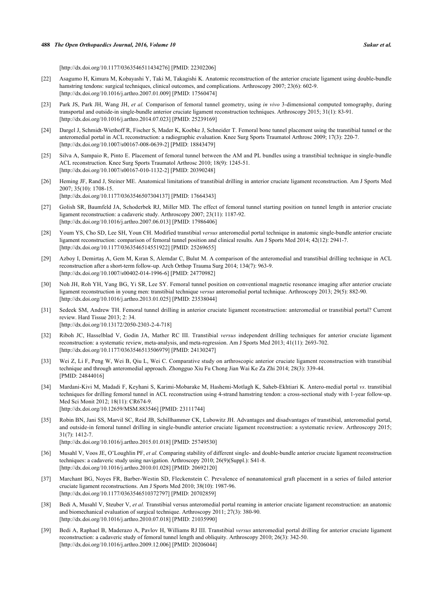[\[http://dx.doi.org/10.1177/0363546511434276\]](http://dx.doi.org/10.1177/0363546511434276) [PMID: [22302206](http://www.ncbi.nlm.nih.gov/pubmed/22302206)]

- <span id="page-7-0"></span>[22] Asagumo H, Kimura M, Kobayashi Y, Taki M, Takagishi K. Anatomic reconstruction of the anterior cruciate ligament using double-bundle hamstring tendons: surgical techniques, clinical outcomes, and complications. Arthroscopy 2007; 23(6): 602-9. [\[http://dx.doi.org/10.1016/j.arthro.2007.01.009](http://dx.doi.org/10.1016/j.arthro.2007.01.009)] [PMID: [17560474\]](http://www.ncbi.nlm.nih.gov/pubmed/17560474)
- <span id="page-7-1"></span>[23] Park JS, Park JH, Wang JH, *et al.* Comparison of femoral tunnel geometry, using *in vivo* 3-dimensional computed tomography, during transportal and outside-in single-bundle anterior cruciate ligament reconstruction techniques. Arthroscopy 2015; 31(1): 83-91. [\[http://dx.doi.org/10.1016/j.arthro.2014.07.023](http://dx.doi.org/10.1016/j.arthro.2014.07.023)] [PMID: [25239169\]](http://www.ncbi.nlm.nih.gov/pubmed/25239169)
- <span id="page-7-2"></span>[24] Dargel J, Schmidt-Wiethoff R, Fischer S, Mader K, Koebke J, Schneider T. Femoral bone tunnel placement using the transtibial tunnel or the anteromedial portal in ACL reconstruction: a radiographic evaluation. Knee Surg Sports Traumatol Arthrosc 2009; 17(3): 220-7. [\[http://dx.doi.org/10.1007/s00167-008-0639-2\]](http://dx.doi.org/10.1007/s00167-008-0639-2) [PMID: [18843479](http://www.ncbi.nlm.nih.gov/pubmed/18843479)]
- <span id="page-7-3"></span>[25] Silva A, Sampaio R, Pinto E. Placement of femoral tunnel between the AM and PL bundles using a transtibial technique in single-bundle ACL reconstruction. Knee Surg Sports Traumatol Arthrosc 2010; 18(9): 1245-51. [\[http://dx.doi.org/10.1007/s00167-010-1132-2\]](http://dx.doi.org/10.1007/s00167-010-1132-2) [PMID: [20390248](http://www.ncbi.nlm.nih.gov/pubmed/20390248)]
- <span id="page-7-4"></span>[26] Heming JF, Rand J, Steiner ME. Anatomical limitations of transtibial drilling in anterior cruciate ligament reconstruction. Am J Sports Med 2007; 35(10): 1708-15. [\[http://dx.doi.org/10.1177/0363546507304137\]](http://dx.doi.org/10.1177/0363546507304137) [PMID: [17664343](http://www.ncbi.nlm.nih.gov/pubmed/17664343)]
- <span id="page-7-5"></span>[27] Golish SR, Baumfeld JA, Schoderbek RJ, Miller MD. The effect of femoral tunnel starting position on tunnel length in anterior cruciate ligament reconstruction: a cadaveric study. Arthroscopy 2007; 23(11): 1187-92. [\[http://dx.doi.org/10.1016/j.arthro.2007.06.013](http://dx.doi.org/10.1016/j.arthro.2007.06.013)] [PMID: [17986406\]](http://www.ncbi.nlm.nih.gov/pubmed/17986406)
- <span id="page-7-6"></span>[28] Youm YS, Cho SD, Lee SH, Youn CH. Modified transtibial *versus* anteromedial portal technique in anatomic single-bundle anterior cruciate ligament reconstruction: comparison of femoral tunnel position and clinical results. Am J Sports Med 2014; 42(12): 2941-7. [\[http://dx.doi.org/10.1177/0363546514551922\]](http://dx.doi.org/10.1177/0363546514551922) [PMID: [25269655](http://www.ncbi.nlm.nih.gov/pubmed/25269655)]
- <span id="page-7-7"></span>[29] Azboy I, Demirtaş A, Gem M, Kıran S, Alemdar C, Bulut M. A comparison of the anteromedial and transtibial drilling technique in ACL reconstruction after a short-term follow-up. Arch Orthop Trauma Surg 2014; 134(7): 963-9. [\[http://dx.doi.org/10.1007/s00402-014-1996-6\]](http://dx.doi.org/10.1007/s00402-014-1996-6) [PMID: [24770982](http://www.ncbi.nlm.nih.gov/pubmed/24770982)]
- <span id="page-7-8"></span>[30] Noh JH, Roh YH, Yang BG, Yi SR, Lee SY. Femoral tunnel position on conventional magnetic resonance imaging after anterior cruciate ligament reconstruction in young men: transtibial technique *versus* anteromedial portal technique. Arthroscopy 2013; 29(5): 882-90. [\[http://dx.doi.org/10.1016/j.arthro.2013.01.025](http://dx.doi.org/10.1016/j.arthro.2013.01.025)] [PMID: [23538044\]](http://www.ncbi.nlm.nih.gov/pubmed/23538044)
- <span id="page-7-9"></span>[31] Sedeek SM, Andrew TH. Femoral tunnel drilling in anterior cruciate ligament reconstruction: anteromedial or transtibial portal? Current review. Hard Tissue 2013; 2: 34. [\[http://dx.doi.org/10.13172/2050-2303-2-4-718](http://dx.doi.org/10.13172/2050-2303-2-4-718)]
- <span id="page-7-10"></span>[32] Riboh JC, Hasselblad V, Godin JA, Mather RC III. Transtibial *versus* independent drilling techniques for anterior cruciate ligament reconstruction: a systematic review, meta-analysis, and meta-regression. Am J Sports Med 2013; 41(11): 2693-702. [\[http://dx.doi.org/10.1177/0363546513506979\]](http://dx.doi.org/10.1177/0363546513506979) [PMID: [24130247](http://www.ncbi.nlm.nih.gov/pubmed/24130247)]
- <span id="page-7-11"></span>[33] Wei Z, Li F, Peng W, Wei B, Qiu L, Wei C. Comparative study on arthroscopic anterior cruciate ligament reconstruction with transtibial technique and through anteromedial approach. Zhongguo Xiu Fu Chong Jian Wai Ke Za Zhi 2014; 28(3): 339-44. [PMID: [24844016\]](http://www.ncbi.nlm.nih.gov/pubmed/24844016)
- <span id="page-7-12"></span>[34] Mardani-Kivi M, Madadi F, Keyhani S, Karimi-Mobarake M, Hashemi-Motlagh K, Saheb-Ekhtiari K. Antero-medial portal *vs*. transtibial techniques for drilling femoral tunnel in ACL reconstruction using 4-strand hamstring tendon: a cross-sectional study with 1-year follow-up. Med Sci Monit 2012; 18(11): CR674-9. [\[http://dx.doi.org/10.12659/MSM.883546](http://dx.doi.org/10.12659/MSM.883546)] [PMID: [23111744](http://www.ncbi.nlm.nih.gov/pubmed/23111744)]
- <span id="page-7-13"></span>[35] Robin BN, Jani SS, Marvil SC, Reid JB, Schillhammer CK, Lubowitz JH. Advantages and disadvantages of transtibial, anteromedial portal, and outside-in femoral tunnel drilling in single-bundle anterior cruciate ligament reconstruction: a systematic review. Arthroscopy 2015; 31(7): 1412-7. [\[http://dx.doi.org/10.1016/j.arthro.2015.01.018](http://dx.doi.org/10.1016/j.arthro.2015.01.018)] [PMID: [25749530\]](http://www.ncbi.nlm.nih.gov/pubmed/25749530)
- <span id="page-7-14"></span>[36] Musahl V, Voos JE, O'Loughlin PF, *et al.* Comparing stability of different single- and double-bundle anterior cruciate ligament reconstruction techniques: a cadaveric study using navigation. Arthroscopy 2010; 26(9)(Suppl.): S41-8. [\[http://dx.doi.org/10.1016/j.arthro.2010.01.028](http://dx.doi.org/10.1016/j.arthro.2010.01.028)] [PMID: [20692120\]](http://www.ncbi.nlm.nih.gov/pubmed/20692120)
- [37] Marchant BG, Noyes FR, Barber-Westin SD, Fleckenstein C. Prevalence of nonanatomical graft placement in a series of failed anterior cruciate ligament reconstructions. Am J Sports Med 2010; 38(10): 1987-96. [\[http://dx.doi.org/10.1177/0363546510372797\]](http://dx.doi.org/10.1177/0363546510372797) [PMID: [20702859](http://www.ncbi.nlm.nih.gov/pubmed/20702859)]
- <span id="page-7-15"></span>[38] Bedi A, Musahl V, Steuber V, *et al.* Transtibial versus anteromedial portal reaming in anterior cruciate ligament reconstruction: an anatomic and biomechanical evaluation of surgical technique. Arthroscopy 2011; 27(3): 380-90. [\[http://dx.doi.org/10.1016/j.arthro.2010.07.018](http://dx.doi.org/10.1016/j.arthro.2010.07.018)] [PMID: [21035990\]](http://www.ncbi.nlm.nih.gov/pubmed/21035990)
- <span id="page-7-16"></span>[39] Bedi A, Raphael B, Maderazo A, Pavlov H, Williams RJ III. Transtibial *versus* anteromedial portal drilling for anterior cruciate ligament reconstruction: a cadaveric study of femoral tunnel length and obliquity. Arthroscopy 2010; 26(3): 342-50. [\[http://dx.doi.org/10.1016/j.arthro.2009.12.006](http://dx.doi.org/10.1016/j.arthro.2009.12.006)] [PMID: [20206044\]](http://www.ncbi.nlm.nih.gov/pubmed/20206044)